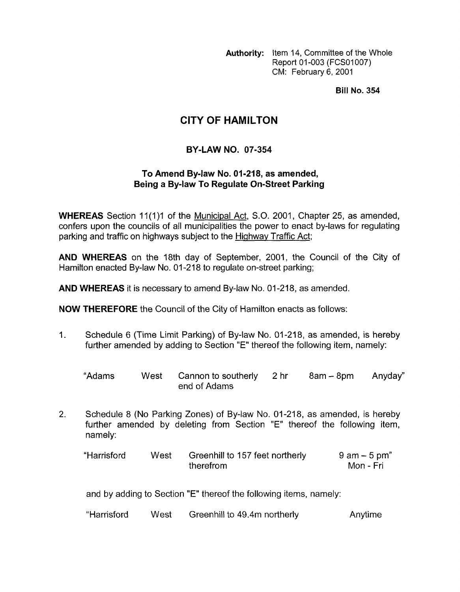**Authority:** Item 14, Committee of the Whole Report 01-003 (FCSO1007) CM: February 6, 2001

**Bill No. 354** 

## **CITY OF HAMILTON**

## **BY-LAW NO. 07-354**

## **To Amend By-law No. 01-218, as amended, Being a By-law To Regulate On-Street Parking**

**WHEREAS** Section 11(1)1 of the Municipal Act, S.O. 2001, Chapter 25, as amended, confers upon the councils of all municipalities the power to enact by-laws for regulating parking and traffic on highways subject to the Highway Traffic Act;

**AND WHEREAS** on the 18th day of September, 2001, the Council of the City of Hamilton enacted By-law No. 01-218 to regulate on-street parking;

**AND WHEREAS** it is necessary to amend By-law No. 01-218, as amended.

**NOW THEREFORE** the Council of the City of Hamilton enacts as follows:

1. Schedule 6 (Time Limit Parking) of By-law No. 01 -21 8, as amended, is hereby further amended by adding to Section "E" thereof the following item, namely:

| "Adams | West Cannon to southerly 2 hr<br>end of Adams | 8am – 8pm – Anyday" |  |
|--------|-----------------------------------------------|---------------------|--|

2. Schedule 8 (No Parking Zones) of By-law No. 01-218, as amended, is hereby further amended by deleting from Section "E" thereof the following item, namely:

"Harrisford West Greenhill to 157 feet northerly 9 am - **5** pm" the refrom

and by adding to Section "E" thereof the following items, namely:

| "Harrisford | West | Greenhill to 49.4m northerly | Anytime |
|-------------|------|------------------------------|---------|
|-------------|------|------------------------------|---------|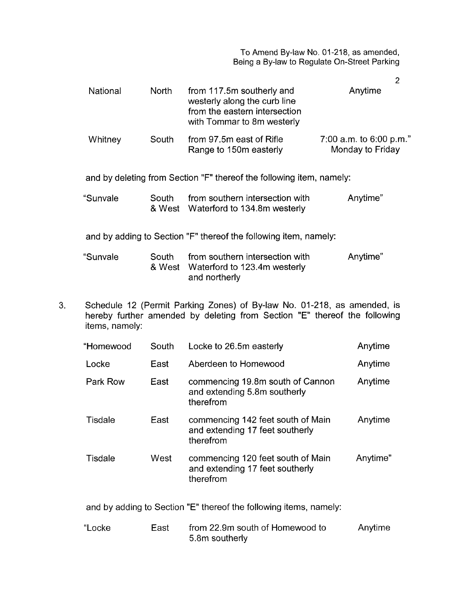To Amend By-law No. 01-218, as amended, Being a By-law to Regulate On-Street Parking

|          |       |                                                                                                                          | $\overline{2}$                                |  |
|----------|-------|--------------------------------------------------------------------------------------------------------------------------|-----------------------------------------------|--|
| National | North | from 117.5m southerly and<br>westerly along the curb line<br>from the eastern intersection<br>with Tommar to 8m westerly | Anytime                                       |  |
| Whitney  | South | from 97.5m east of Rifle<br>Range to 150m easterly                                                                       | 7:00 a.m. to $6:00$ p.m."<br>Monday to Friday |  |
|          |       | and by deleting from Section "F" thereof the following item, namely:                                                     |                                               |  |
| "Sunvale | South | from southern intersection with<br>Anytime"<br>& West Waterford to 134.8m westerly                                       |                                               |  |
|          |       | and by adding to Section "F" thereof the following item, namely:                                                         |                                               |  |
| "Sunvale | South | from southern intersection with<br>& West Waterford to 123.4m westerly<br>and northerly                                  | Anytime"                                      |  |

**3.** Schedule 12 (Permit Parking Zones) of By-law No. 01-218, as amended, is hereby further amended by deleting from Section "E" thereof the following items, namely:

| "Homewood | South | Anytime<br>Locke to 26.5m easterly                                                |          |
|-----------|-------|-----------------------------------------------------------------------------------|----------|
| Locke     | East  | Aberdeen to Homewood                                                              | Anytime  |
| Park Row  | East  | commencing 19.8m south of Cannon<br>and extending 5.8m southerly<br>therefrom     | Anytime  |
| Tisdale   | East  | commencing 142 feet south of Main<br>and extending 17 feet southerly<br>therefrom | Anytime  |
| Tisdale   | West  | commencing 120 feet south of Main<br>and extending 17 feet southerly<br>therefrom | Anytime" |
|           |       | and by adding to Section "E" thereof the following items, namely:                 |          |
| "Locke    | East  | from 22.9m south of Homewood to<br>5.8m southerly                                 | Anytime  |